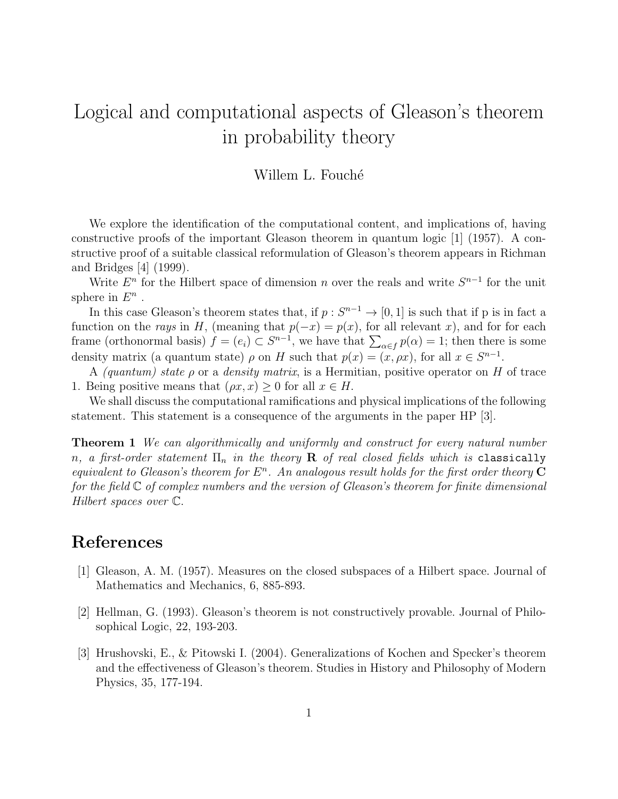## Logical and computational aspects of Gleason's theorem in probability theory

## Willem L. Fouché

We explore the identification of the computational content, and implications of, having constructive proofs of the important Gleason theorem in quantum logic [1] (1957). A constructive proof of a suitable classical reformulation of Gleason's theorem appears in Richman and Bridges [4] (1999).

Write  $E<sup>n</sup>$  for the Hilbert space of dimension n over the reals and write  $S<sup>n-1</sup>$  for the unit sphere in  $E^n$ .

In this case Gleason's theorem states that, if  $p: S^{n-1} \to [0,1]$  is such that if p is in fact a function on the rays in H, (meaning that  $p(-x) = p(x)$ , for all relevant x), and for for each frame (orthonormal basis)  $f = (e_i) \subset S^{n-1}$ , we have that  $\sum_{\alpha \in f} p(\alpha) = 1$ ; then there is some density matrix (a quantum state)  $\rho$  on H such that  $p(x) = (x, \rho x)$ , for all  $x \in S^{n-1}$ .

A (quantum) state  $\rho$  or a density matrix, is a Hermitian, positive operator on H of trace 1. Being positive means that  $(\rho x, x) \geq 0$  for all  $x \in H$ .

We shall discuss the computational ramifications and physical implications of the following statement. This statement is a consequence of the arguments in the paper HP [3].

**Theorem 1** We can algorithmically and uniformly and construct for every natural number n, a first-order statement  $\Pi_n$  in the theory **R** of real closed fields which is classically equivalent to Gleason's theorem for  $E^n$ . An analogous result holds for the first order theory  $C$ for the field  $\mathbb C$  of complex numbers and the version of Gleason's theorem for finite dimensional Hilbert spaces over C.

## References

- [1] Gleason, A. M. (1957). Measures on the closed subspaces of a Hilbert space. Journal of Mathematics and Mechanics, 6, 885-893.
- [2] Hellman, G. (1993). Gleason's theorem is not constructively provable. Journal of Philosophical Logic, 22, 193-203.
- [3] Hrushovski, E., & Pitowski I. (2004). Generalizations of Kochen and Specker's theorem and the effectiveness of Gleason's theorem. Studies in History and Philosophy of Modern Physics, 35, 177-194.